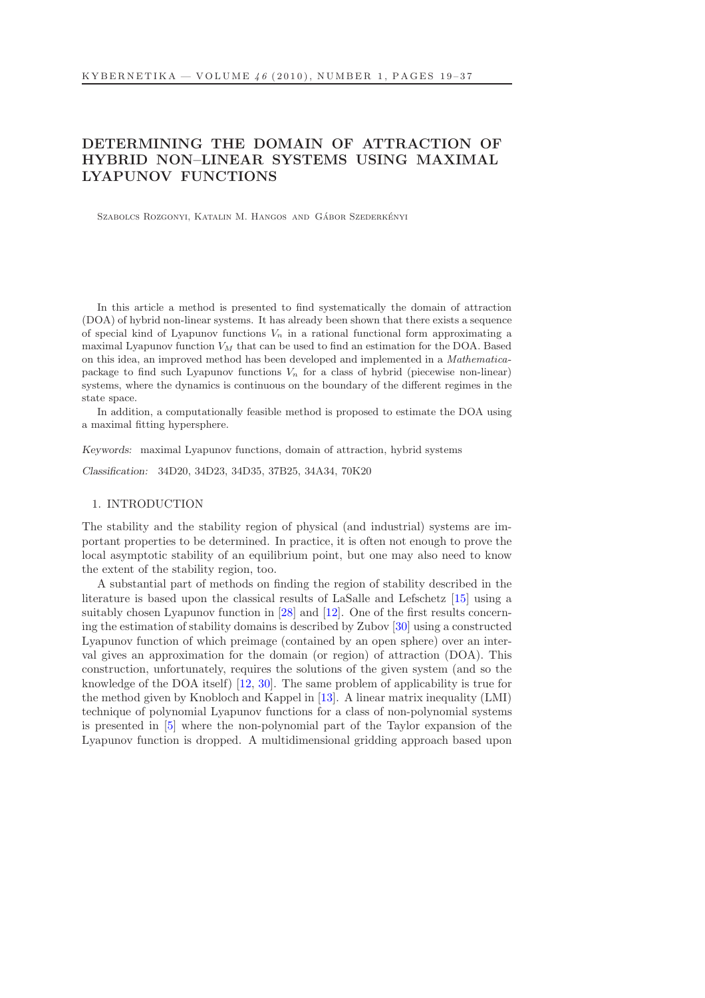# DETERMINING THE DOMAIN OF ATTRACTION OF HYBRID NON–LINEAR SYSTEMS USING MAXIMAL LYAPUNOV FUNCTIONS

SZABOLCS ROZGONYI, KATALIN M. HANGOS AND GÁBOR SZEDERKÉNYI

In this article a method is presented to find systematically the domain of attraction (DOA) of hybrid non-linear systems. It has already been shown that there exists a sequence of special kind of Lyapunov functions  $V_n$  in a rational functional form approximating a maximal Lyapunov function  $V_M$  that can be used to find an estimation for the DOA. Based on this idea, an improved method has been developed and implemented in a Mathematicapackage to find such Lyapunov functions  $V_n$  for a class of hybrid (piecewise non-linear) systems, where the dynamics is continuous on the boundary of the different regimes in the state space.

In addition, a computationally feasible method is proposed to estimate the DOA using a maximal fitting hypersphere.

Keywords: maximal Lyapunov functions, domain of attraction, hybrid systems

Classification: 34D20, 34D23, 34D35, 37B25, 34A34, 70K20

## 1. INTRODUCTION

The stability and the stability region of physical (and industrial) systems are important properties to be determined. In practice, it is often not enough to prove the local asymptotic stability of an equilibrium point, but one may also need to know the extent of the stability region, too.

A substantial part of methods on finding the region of stability described in the literature is based upon the classical results of LaSalle and Lefschetz [\[15\]](#page-17-0) using a suitably chosen Lyapunov function in [\[28\]](#page-18-0) and [\[12\]](#page-17-1). One of the first results concerning the estimation of stability domains is described by Zubov [\[30\]](#page-18-1) using a constructed Lyapunov function of which preimage (contained by an open sphere) over an interval gives an approximation for the domain (or region) of attraction (DOA). This construction, unfortunately, requires the solutions of the given system (and so the knowledge of the DOA itself) [\[12,](#page-17-1) [30\]](#page-18-1). The same problem of applicability is true for the method given by Knobloch and Kappel in [\[13\]](#page-17-2). A linear matrix inequality (LMI) technique of polynomial Lyapunov functions for a class of non-polynomial systems is presented in [\[5\]](#page-17-3) where the non-polynomial part of the Taylor expansion of the Lyapunov function is dropped. A multidimensional gridding approach based upon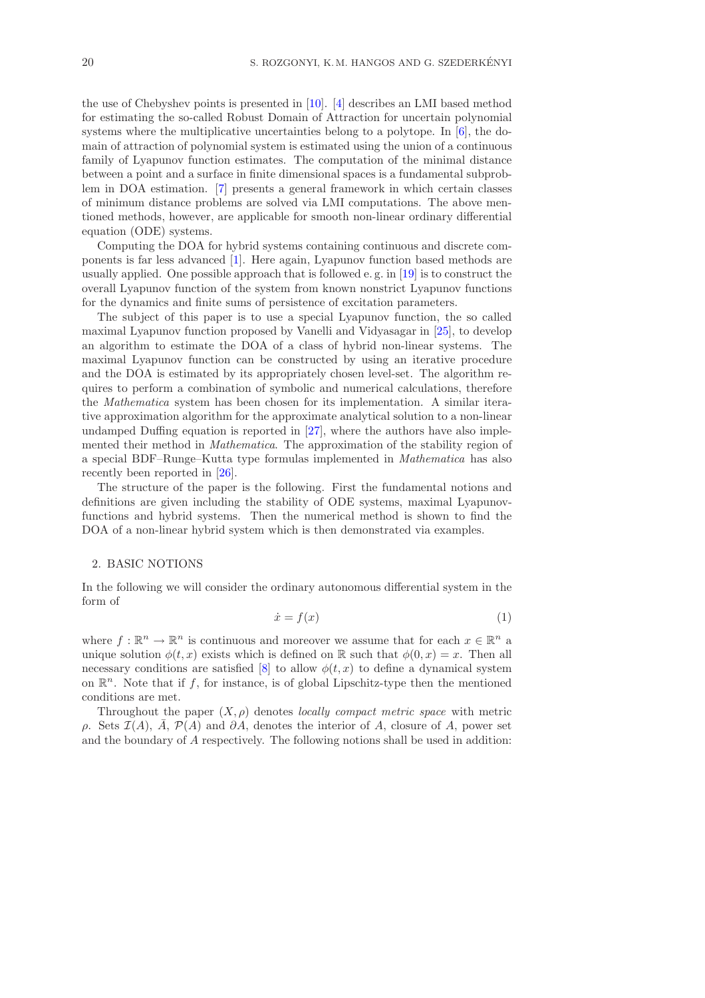the use of Chebyshev points is presented in [\[10\]](#page-17-4). [\[4\]](#page-17-5) describes an LMI based method for estimating the so-called Robust Domain of Attraction for uncertain polynomial systems where the multiplicative uncertainties belong to a polytope. In [\[6\]](#page-17-6), the domain of attraction of polynomial system is estimated using the union of a continuous family of Lyapunov function estimates. The computation of the minimal distance between a point and a surface in finite dimensional spaces is a fundamental subproblem in DOA estimation. [\[7\]](#page-17-7) presents a general framework in which certain classes of minimum distance problems are solved via LMI computations. The above mentioned methods, however, are applicable for smooth non-linear ordinary differential equation (ODE) systems.

Computing the DOA for hybrid systems containing continuous and discrete components is far less advanced [\[1\]](#page-16-0). Here again, Lyapunov function based methods are usually applied. One possible approach that is followed e.g. in  $[19]$  is to construct the overall Lyapunov function of the system from known nonstrict Lyapunov functions for the dynamics and finite sums of persistence of excitation parameters.

The subject of this paper is to use a special Lyapunov function, the so called maximal Lyapunov function proposed by Vanelli and Vidyasagar in [\[25\]](#page-18-2), to develop an algorithm to estimate the DOA of a class of hybrid non-linear systems. The maximal Lyapunov function can be constructed by using an iterative procedure and the DOA is estimated by its appropriately chosen level-set. The algorithm requires to perform a combination of symbolic and numerical calculations, therefore the Mathematica system has been chosen for its implementation. A similar iterative approximation algorithm for the approximate analytical solution to a non-linear undamped Duffing equation is reported in [\[27\]](#page-18-3), where the authors have also implemented their method in Mathematica. The approximation of the stability region of a special BDF–Runge–Kutta type formulas implemented in Mathematica has also recently been reported in [\[26\]](#page-18-4).

The structure of the paper is the following. First the fundamental notions and definitions are given including the stability of ODE systems, maximal Lyapunovfunctions and hybrid systems. Then the numerical method is shown to find the DOA of a non-linear hybrid system which is then demonstrated via examples.

## 2. BASIC NOTIONS

<span id="page-1-0"></span>In the following we will consider the ordinary autonomous differential system in the form of

$$
\dot{x} = f(x) \tag{1}
$$

where  $f: \mathbb{R}^n \to \mathbb{R}^n$  is continuous and moreover we assume that for each  $x \in \mathbb{R}^n$  a unique solution  $\phi(t, x)$  exists which is defined on R such that  $\phi(0, x) = x$ . Then all necessary conditions are satisfied [\[8\]](#page-17-9) to allow  $\phi(t, x)$  to define a dynamical system on  $\mathbb{R}^n$ . Note that if f, for instance, is of global Lipschitz-type then the mentioned conditions are met.

Throughout the paper  $(X, \rho)$  denotes *locally compact metric space* with metric ρ. Sets  $\mathcal{I}(A)$ , A,  $\mathcal{P}(A)$  and  $\partial A$ , denotes the interior of A, closure of A, power set and the boundary of A respectively. The following notions shall be used in addition: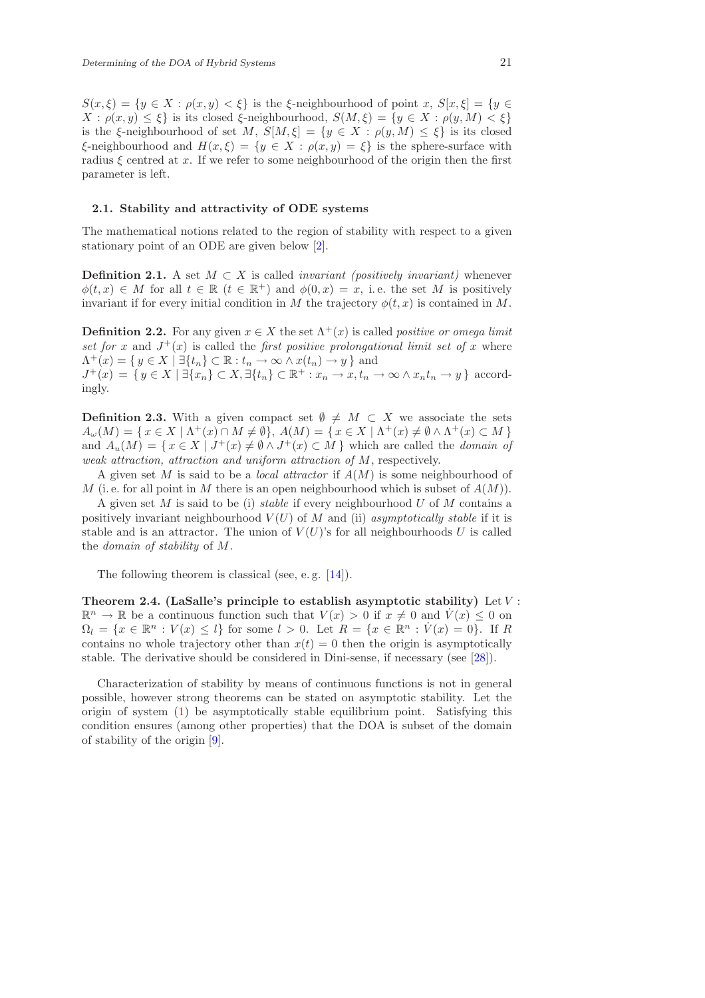$S(x,\xi) = \{y \in X : \rho(x,y) < \xi\}$  is the ξ-neighbourhood of point  $x, S[x,\xi] = \{y \in$  $X : \rho(x, y) \leq \xi$  is its closed  $\xi$ -neighbourhood,  $S(M, \xi) = \{y \in X : \rho(y, M) < \xi\}$ is the ξ-neighbourhood of set M,  $S[M,\xi] = \{y \in X : \rho(y,M) \leq \xi\}$  is its closed  $\xi$ -neighbourhood and  $H(x,\xi) = \{y \in X : \rho(x,y) = \xi\}$  is the sphere-surface with radius  $\xi$  centred at x. If we refer to some neighbourhood of the origin then the first parameter is left.

## 2.1. Stability and attractivity of ODE systems

The mathematical notions related to the region of stability with respect to a given stationary point of an ODE are given below [\[2\]](#page-16-1).

**Definition 2.1.** A set  $M \subset X$  is called *invariant* (*positively invariant*) whenever  $\phi(t,x) \in M$  for all  $t \in \mathbb{R}$   $(t \in \mathbb{R}^+)$  and  $\phi(0,x) = x$ , i.e. the set M is positively invariant if for every initial condition in M the trajectory  $\phi(t, x)$  is contained in M.

**Definition 2.2.** For any given  $x \in X$  the set  $\Lambda^+(x)$  is called *positive or omega limit* set for x and  $J^+(x)$  is called the first positive prolongational limit set of x where  $\Lambda^+(x) = \{ y \in X \mid \exists \{t_n\} \subset \mathbb{R} : t_n \to \infty \land x(t_n) \to y \}$  and  $J^+(x) = \{ y \in X \mid \exists \{x_n\} \subset X, \exists \{t_n\} \subset \mathbb{R}^+ : x_n \to x, t_n \to \infty \land x_n t_n \to y \}$  accordingly.

**Definition 2.3.** With a given compact set  $\emptyset \neq M \subset X$  we associate the sets  $A_{\omega}(M) = \{x \in X \mid \Lambda^+(x) \cap M \neq \emptyset\}, A(M) = \{x \in X \mid \Lambda^+(x) \neq \emptyset \wedge \Lambda^+(x) \subset M\}$ and  $A_u(M) = \{ x \in X \mid J^+(x) \neq \emptyset \land J^+(x) \subset M \}$  which are called the *domain of* weak attraction, attraction and uniform attraction of M, respectively.

A given set M is said to be a *local attractor* if  $A(M)$  is some neighbourhood of M (i.e. for all point in M there is an open neighbourhood which is subset of  $A(M)$ ).

A given set M is said to be (i) stable if every neighbourhood U of M contains a positively invariant neighbourhood  $V(U)$  of M and (ii) asymptotically stable if it is stable and is an attractor. The union of  $V(U)$ 's for all neighbourhoods U is called the domain of stability of M.

The following theorem is classical (see, e.g. [\[14\]](#page-17-10)).

Theorem 2.4. (LaSalle's principle to establish asymptotic stability) Let  $V$ :  $\mathbb{R}^n \to \mathbb{R}$  be a continuous function such that  $V(x) > 0$  if  $x \neq 0$  and  $\dot{V}(x) \leq 0$  on  $\Omega_l = \{x \in \mathbb{R}^n : V(x) \leq l\}$  for some  $l > 0$ . Let  $R = \{x \in \mathbb{R}^n : V(x) = 0\}$ . If R contains no whole trajectory other than  $x(t) = 0$  then the origin is asymptotically stable. The derivative should be considered in Dini-sense, if necessary (see [\[28\]](#page-18-0)).

Characterization of stability by means of continuous functions is not in general possible, however strong theorems can be stated on asymptotic stability. Let the origin of system [\(1\)](#page-1-0) be asymptotically stable equilibrium point. Satisfying this condition ensures (among other properties) that the DOA is subset of the domain of stability of the origin [\[9\]](#page-17-11).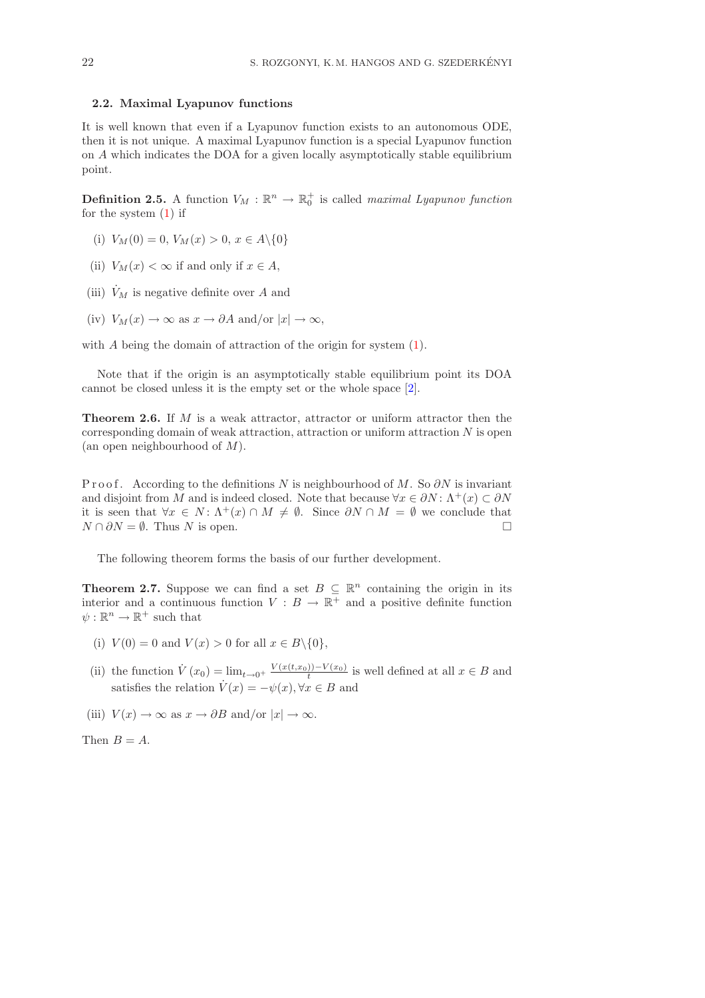## 2.2. Maximal Lyapunov functions

<span id="page-3-1"></span>It is well known that even if a Lyapunov function exists to an autonomous ODE, then it is not unique. A maximal Lyapunov function is a special Lyapunov function on A which indicates the DOA for a given locally asymptotically stable equilibrium point.

**Definition 2.5.** A function  $V_M : \mathbb{R}^n \to \mathbb{R}_0^+$  is called maximal Lyapunov function for the system [\(1\)](#page-1-0) if

- (i)  $V_M(0) = 0, V_M(x) > 0, x \in A \setminus \{0\}$
- (ii)  $V_M(x) < \infty$  if and only if  $x \in A$ ,
- (iii)  $\dot{V}_M$  is negative definite over A and

(iv) 
$$
V_M(x) \to \infty
$$
 as  $x \to \partial A$  and/or  $|x| \to \infty$ ,

with A being the domain of attraction of the origin for system  $(1)$ .

Note that if the origin is an asymptotically stable equilibrium point its DOA cannot be closed unless it is the empty set or the whole space [\[2\]](#page-16-1).

**Theorem 2.6.** If  $M$  is a weak attractor, attractor or uniform attractor then the corresponding domain of weak attraction, attraction or uniform attraction  $N$  is open (an open neighbourhood of  $M$ ).

P r o o f. According to the definitions N is neighbourhood of M. So  $\partial N$  is invariant and disjoint from M and is indeed closed. Note that because  $\forall x \in \partial N$ :  $\Lambda^+(x) \subset \partial N$ it is seen that  $\forall x \in N : \Lambda^+(x) \cap M \neq \emptyset$ . Since  $\partial N \cap M = \emptyset$  we conclude that  $N \cap \partial N = \emptyset$ . Thus N is open.

The following theorem forms the basis of our further development.

<span id="page-3-0"></span>**Theorem 2.7.** Suppose we can find a set  $B \subseteq \mathbb{R}^n$  containing the origin in its interior and a continuous function  $V: B \to \mathbb{R}^+$  and a positive definite function  $\psi: \mathbb{R}^n \to \mathbb{R}^+$  such that

- (i)  $V(0) = 0$  and  $V(x) > 0$  for all  $x \in B \setminus \{0\},$
- (ii) the function  $\dot{V}(x_0) = \lim_{t \to 0^+} \frac{V(x(t,x_0)) V(x_0)}{t}$  is well defined at all  $x \in B$  and satisfies the relation  $\dot{V}(x) = -\psi(x), \forall x \in B$  and
- (iii)  $V(x) \to \infty$  as  $x \to \partial B$  and/or  $|x| \to \infty$ .

Then  $B = A$ .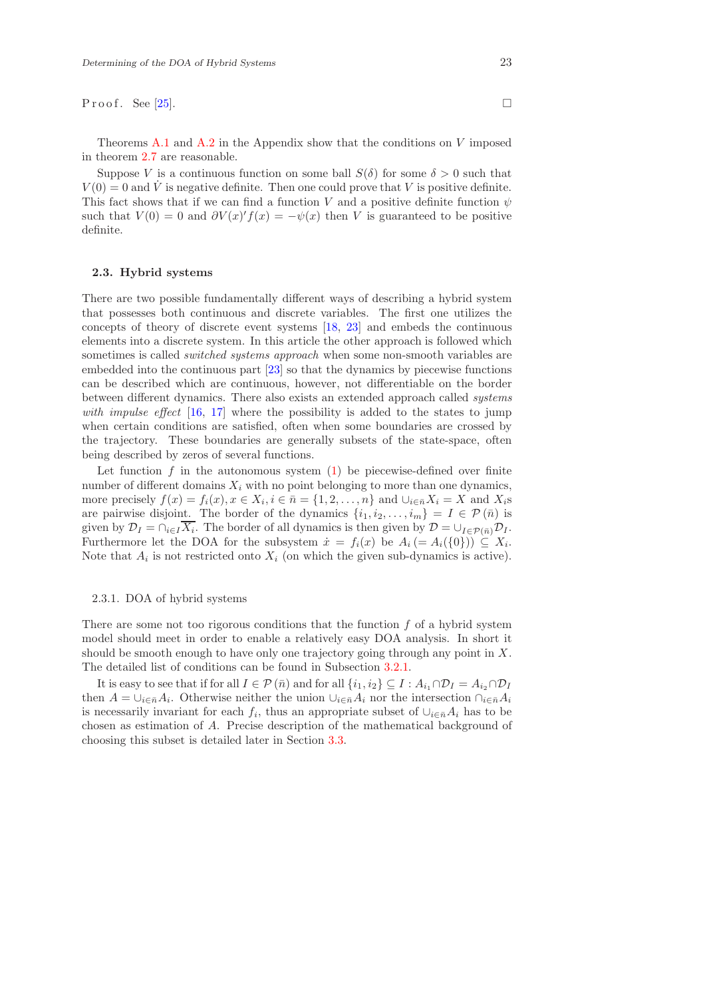P r o o f . See [\[25\]](#page-18-2).

Theorems [A.1](#page-16-2) and [A.2](#page-16-3) in the Appendix show that the conditions on  $V$  imposed in theorem [2.7](#page-3-0) are reasonable.

Suppose V is a continuous function on some ball  $S(\delta)$  for some  $\delta > 0$  such that  $V(0) = 0$  and  $\dot{V}$  is negative definite. Then one could prove that V is positive definite. This fact shows that if we can find a function V and a positive definite function  $\psi$ such that  $V(0) = 0$  and  $\partial V(x)' f(x) = -\psi(x)$  then V is guaranteed to be positive definite.

# 2.3. Hybrid systems

There are two possible fundamentally different ways of describing a hybrid system that possesses both continuous and discrete variables. The first one utilizes the concepts of theory of discrete event systems [\[18,](#page-17-12) [23\]](#page-17-13) and embeds the continuous elements into a discrete system. In this article the other approach is followed which sometimes is called *switched systems approach* when some non-smooth variables are embedded into the continuous part [\[23\]](#page-17-13) so that the dynamics by piecewise functions can be described which are continuous, however, not differentiable on the border between different dynamics. There also exists an extended approach called systems with impulse effect  $[16, 17]$  $[16, 17]$  $[16, 17]$  where the possibility is added to the states to jump when certain conditions are satisfied, often when some boundaries are crossed by the trajectory. These boundaries are generally subsets of the state-space, often being described by zeros of several functions.

Let function  $f$  in the autonomous system  $(1)$  be piecewise-defined over finite number of different domains  $X_i$  with no point belonging to more than one dynamics, more precisely  $f(x) = f_i(x), x \in X_i, i \in \bar{n} = \{1, 2, \ldots, n\}$  and  $\cup_{i \in \bar{n}} X_i = X$  and  $X_i$ s are pairwise disjoint. The border of the dynamics  $\{i_1, i_2, \ldots, i_m\} = I \in \mathcal{P}(\bar{n})$  is given by  $\mathcal{D}_I = \bigcap_{i \in I} X_i$ . The border of all dynamics is then given by  $\mathcal{D} = \bigcup_{I \in \mathcal{P}(\bar{n})} \mathcal{D}_I$ . Furthermore let the DOA for the subsystem  $\dot{x} = f_i(x)$  be  $A_i (= A_i({0}) ) \subseteq X_i$ . Note that  $A_i$  is not restricted onto  $X_i$  (on which the given sub-dynamics is active).

#### 2.3.1. DOA of hybrid systems

There are some not too rigorous conditions that the function  $f$  of a hybrid system model should meet in order to enable a relatively easy DOA analysis. In short it should be smooth enough to have only one trajectory going through any point in  $X$ . The detailed list of conditions can be found in Subsection [3.2.1.](#page-8-0)

It is easy to see that if for all  $I \in \mathcal{P}(\bar{n})$  and for all  $\{i_1, i_2\} \subseteq I : A_{i_1} \cap \mathcal{D}_I = A_{i_2} \cap \mathcal{D}_I$ then  $A = \bigcup_{i \in \bar{n}} A_i$ . Otherwise neither the union  $\bigcup_{i \in \bar{n}} A_i$  nor the intersection  $\bigcap_{i \in \bar{n}} A_i$ is necessarily invariant for each  $f_i$ , thus an appropriate subset of  $\cup_{i\in\bar{n}}A_i$  has to be chosen as estimation of A. Precise description of the mathematical background of choosing this subset is detailed later in Section [3.3.](#page-9-0)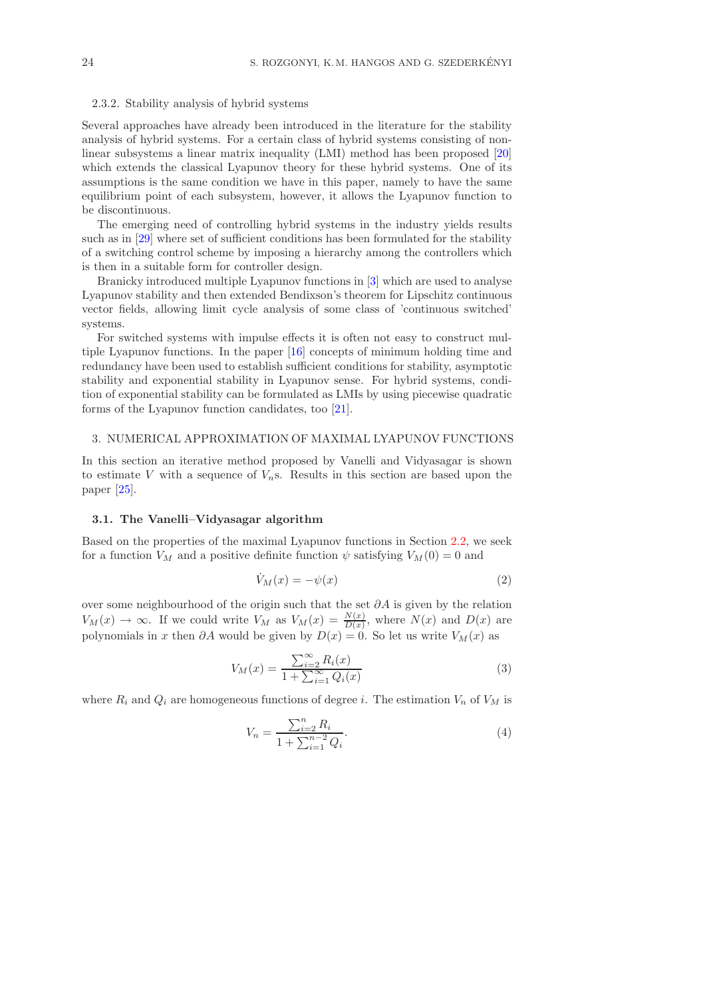## 2.3.2. Stability analysis of hybrid systems

Several approaches have already been introduced in the literature for the stability analysis of hybrid systems. For a certain class of hybrid systems consisting of nonlinear subsystems a linear matrix inequality (LMI) method has been proposed [\[20\]](#page-17-16) which extends the classical Lyapunov theory for these hybrid systems. One of its assumptions is the same condition we have in this paper, namely to have the same equilibrium point of each subsystem, however, it allows the Lyapunov function to be discontinuous.

The emerging need of controlling hybrid systems in the industry yields results such as in [\[29\]](#page-18-5) where set of sufficient conditions has been formulated for the stability of a switching control scheme by imposing a hierarchy among the controllers which is then in a suitable form for controller design.

Branicky introduced multiple Lyapunov functions in [\[3\]](#page-17-17) which are used to analyse Lyapunov stability and then extended Bendixson's theorem for Lipschitz continuous vector fields, allowing limit cycle analysis of some class of 'continuous switched' systems.

For switched systems with impulse effects it is often not easy to construct multiple Lyapunov functions. In the paper [\[16\]](#page-17-14) concepts of minimum holding time and redundancy have been used to establish sufficient conditions for stability, asymptotic stability and exponential stability in Lyapunov sense. For hybrid systems, condition of exponential stability can be formulated as LMIs by using piecewise quadratic forms of the Lyapunov function candidates, too [\[21\]](#page-17-18).

#### 3. NUMERICAL APPROXIMATION OF MAXIMAL LYAPUNOV FUNCTIONS

In this section an iterative method proposed by Vanelli and Vidyasagar is shown to estimate V with a sequence of  $V_n$ s. Results in this section are based upon the paper [\[25\]](#page-18-2).

## 3.1. The Vanelli–Vidyasagar algorithm

<span id="page-5-0"></span>Based on the properties of the maximal Lyapunov functions in Section [2.2,](#page-3-1) we seek for a function  $V_M$  and a positive definite function  $\psi$  satisfying  $V_M(0) = 0$  and

$$
\dot{V}_M(x) = -\psi(x) \tag{2}
$$

over some neighbourhood of the origin such that the set  $\partial A$  is given by the relation  $V_M(x) \to \infty$ . If we could write  $V_M$  as  $V_M(x) = \frac{N(x)}{D(x)}$ , where  $N(x)$  and  $D(x)$  are polynomials in x then  $\partial A$  would be given by  $D(x) = 0$ . So let us write  $V_M(x)$  as

$$
V_M(x) = \frac{\sum_{i=2}^{\infty} R_i(x)}{1 + \sum_{i=1}^{\infty} Q_i(x)}
$$
(3)

where  $R_i$  and  $Q_i$  are homogeneous functions of degree i. The estimation  $V_n$  of  $V_M$  is

$$
V_n = \frac{\sum_{i=2}^n R_i}{1 + \sum_{i=1}^{n-2} Q_i}.
$$
\n(4)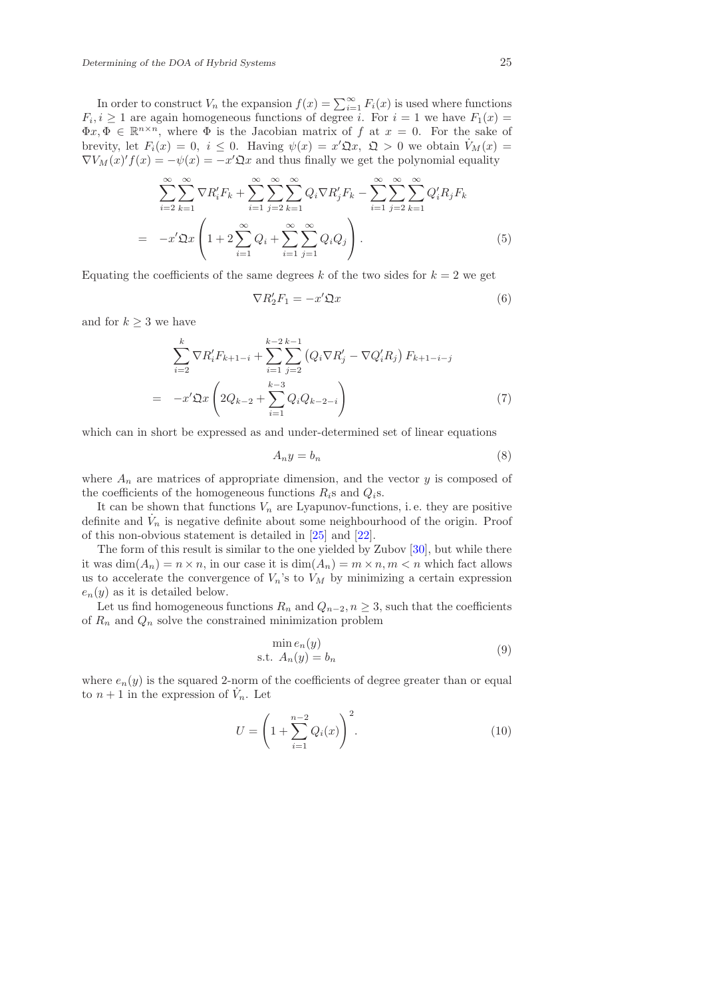In order to construct  $V_n$  the expansion  $f(x) = \sum_{i=1}^{\infty} F_i(x)$  is used where functions  $F_i, i \geq 1$  are again homogeneous functions of degree i. For  $i = 1$  we have  $F_1(x) =$  $\Phi x, \Phi \in \mathbb{R}^{n \times n}$ , where  $\Phi$  is the Jacobian matrix of f at  $x = 0$ . For the sake of brevity, let  $F_i(x) = 0$ ,  $i \leq 0$ . Having  $\psi(x) = x' \mathfrak{Q} x$ ,  $\mathfrak{Q} > 0$  we obtain  $\dot{V}_M(x) =$  $\nabla V_M(x)' f(x) = -\psi(x) = -x' \mathfrak{Q} x$  and thus finally we get the polynomial equality

$$
\sum_{i=2}^{\infty} \sum_{k=1}^{\infty} \nabla R'_i F_k + \sum_{i=1}^{\infty} \sum_{j=2}^{\infty} \sum_{k=1}^{\infty} Q_i \nabla R'_j F_k - \sum_{i=1}^{\infty} \sum_{j=2}^{\infty} \sum_{k=1}^{\infty} Q'_i R_j F_k
$$

$$
= -x' \mathfrak{Q} x \left( 1 + 2 \sum_{i=1}^{\infty} Q_i + \sum_{i=1}^{\infty} \sum_{j=1}^{\infty} Q_i Q_j \right). \tag{5}
$$

<span id="page-6-0"></span>Equating the coefficients of the same degrees k of the two sides for  $k = 2$  we get

$$
\nabla R_2' F_1 = -x' \mathfrak{Q} x \tag{6}
$$

<span id="page-6-2"></span>and for  $k \geq 3$  we have

$$
\sum_{i=2}^{k} \nabla R'_{i} F_{k+1-i} + \sum_{i=1}^{k-2} \sum_{j=2}^{k-1} (Q_{i} \nabla R'_{j} - \nabla Q'_{i} R_{j}) F_{k+1-i-j}
$$
\n
$$
= -x' \mathfrak{Q} x \left( 2Q_{k-2} + \sum_{i=1}^{k-3} Q_{i} Q_{k-2-i} \right)
$$
\n(7)

which can in short be expressed as and under-determined set of linear equations

<span id="page-6-1"></span>
$$
A_n y = b_n \tag{8}
$$

where  $A_n$  are matrices of appropriate dimension, and the vector y is composed of the coefficients of the homogeneous functions  $R_i$ s and  $Q_i$ s.

It can be shown that functions  $V_n$  are Lyapunov-functions, i.e. they are positive definite and  $\dot{V}_n$  is negative definite about some neighbourhood of the origin. Proof of this non-obvious statement is detailed in [\[25\]](#page-18-2) and [\[22\]](#page-17-19).

The form of this result is similar to the one yielded by Zubov [\[30\]](#page-18-1), but while there it was  $\dim(A_n) = n \times n$ , in our case it is  $\dim(A_n) = m \times n$ ,  $m < n$  which fact allows us to accelerate the convergence of  $V_n$ 's to  $V_M$  by minimizing a certain expression  $e_n(y)$  as it is detailed below.

Let us find homogeneous functions  $R_n$  and  $Q_{n-2}$ ,  $n \geq 3$ , such that the coefficients of  $R_n$  and  $Q_n$  solve the constrained minimization problem

<span id="page-6-3"></span>
$$
\min_{n} e_n(y) \text{s.t. } A_n(y) = b_n
$$
\n(9)

where  $e_n(y)$  is the squared 2-norm of the coefficients of degree greater than or equal to  $n+1$  in the expression of  $\dot{V}_n$ . Let

$$
U = \left(1 + \sum_{i=1}^{n-2} Q_i(x)\right)^2.
$$
 (10)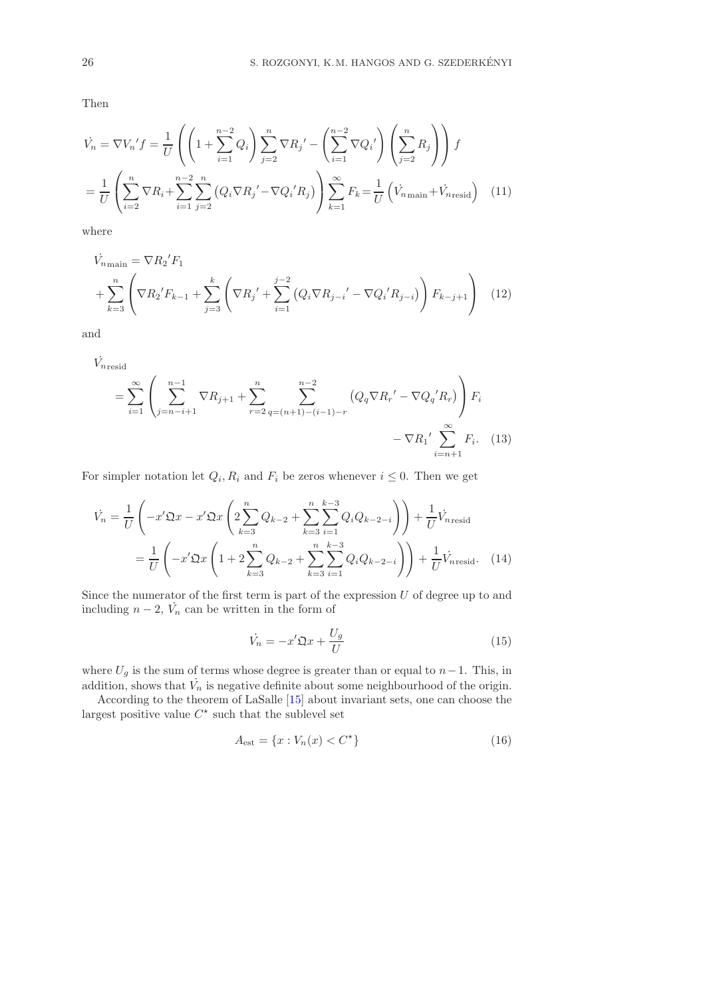Then

$$
\dot{V}_n = \nabla V_n' f = \frac{1}{U} \left( \left( 1 + \sum_{i=1}^{n-2} Q_i \right) \sum_{j=2}^n \nabla R_j' - \left( \sum_{i=1}^{n-2} \nabla Q_i' \right) \left( \sum_{j=2}^n R_j \right) \right) f
$$
\n
$$
= \frac{1}{U} \left( \sum_{i=2}^n \nabla R_i + \sum_{i=1}^{n-2} \sum_{j=2}^n \left( Q_i \nabla R_j' - \nabla Q_i' R_j \right) \right) \sum_{k=1}^\infty F_k = \frac{1}{U} \left( \dot{V}_{n \text{main}} + \dot{V}_{n \text{resid}} \right) \tag{11}
$$

where

$$
\dot{V}_{n_{\text{main}}} = \nabla R_2' F_1
$$
\n
$$
+ \sum_{k=3}^n \left( \nabla R_2' F_{k-1} + \sum_{j=3}^k \left( \nabla R_j' + \sum_{i=1}^{j-2} \left( Q_i \nabla R_{j-i}' - \nabla Q_i' R_{j-i} \right) \right) F_{k-j+1} \right)
$$
\n(12)

and

$$
\dot{V}_{n\text{resid}} = \sum_{i=1}^{\infty} \left( \sum_{j=n-i+1}^{n-1} \nabla R_{j+1} + \sum_{r=2}^{n} \sum_{q=(n+1)-(i-1)-r}^{n-2} \left( Q_q \nabla R_r' - \nabla Q_q' R_r \right) \right) F_i - \nabla R_1' \sum_{i=n+1}^{\infty} F_i.
$$
 (13)

For simpler notation let  $Q_i, R_i$  and  $F_i$  be zeros whenever  $i \leq 0$ . Then we get

$$
\dot{V}_n = \frac{1}{U} \left( -x' \mathfrak{Q} x - x' \mathfrak{Q} x \left( 2 \sum_{k=3}^n Q_{k-2} + \sum_{k=3}^n \sum_{i=1}^{k-3} Q_i Q_{k-2-i} \right) \right) + \frac{1}{U} \dot{V}_{n \text{resid}}
$$
\n
$$
= \frac{1}{U} \left( -x' \mathfrak{Q} x \left( 1 + 2 \sum_{k=3}^n Q_{k-2} + \sum_{k=3}^n \sum_{i=1}^{k-3} Q_i Q_{k-2-i} \right) \right) + \frac{1}{U} \dot{V}_{n \text{resid}}.
$$
\n(14)

Since the numerator of the first term is part of the expression  $U$  of degree up to and including  $n-2$ ,  $\dot{V}_n$  can be written in the form of

<span id="page-7-0"></span>
$$
\dot{V}_n = -x'\mathfrak{Q}x + \frac{U_g}{U} \tag{15}
$$

where  $U_g$  is the sum of terms whose degree is greater than or equal to  $n-1$ . This, in addition, shows that  $\dot{V}_n$  is negative definite about some neighbourhood of the origin.

According to the theorem of LaSalle [\[15\]](#page-17-0) about invariant sets, one can choose the largest positive value  $C^*$  such that the sublevel set

<span id="page-7-1"></span>
$$
A_{\text{est}} = \{x : V_n(x) < C^{\star}\}\tag{16}
$$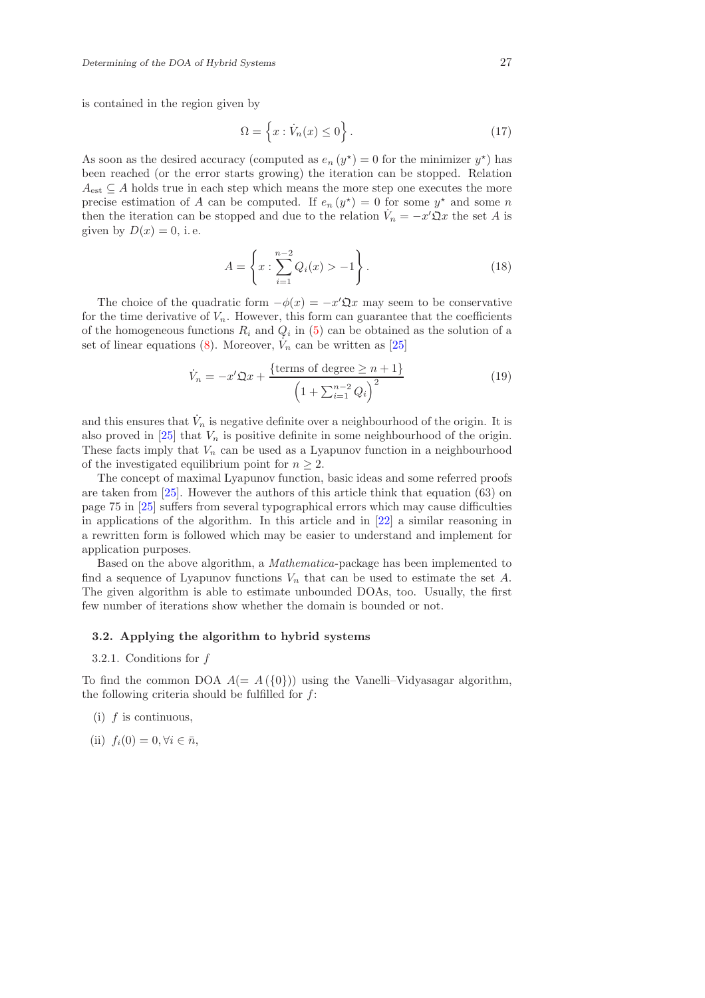is contained in the region given by

<span id="page-8-2"></span>
$$
\Omega = \left\{ x : \dot{V}_n(x) \le 0 \right\}.
$$
\n(17)

<span id="page-8-1"></span>As soon as the desired accuracy (computed as  $e_n(y^*) = 0$  for the minimizer  $y^*$ ) has been reached (or the error starts growing) the iteration can be stopped. Relation  $A_{est} \subseteq A$  holds true in each step which means the more step one executes the more precise estimation of A can be computed. If  $e_n(y^*) = 0$  for some  $y^*$  and some n then the iteration can be stopped and due to the relation  $\dot{V}_n = -x'\hat{\mathfrak{Q}}x$  the set A is given by  $D(x) = 0$ , i.e.

$$
A = \left\{ x : \sum_{i=1}^{n-2} Q_i(x) > -1 \right\}.
$$
 (18)

The choice of the quadratic form  $-\phi(x) = -x'\mathfrak{Q}x$  may seem to be conservative for the time derivative of  $V_n$ . However, this form can guarantee that the coefficients of the homogeneous functions  $R_i$  and  $Q_i$  in [\(5\)](#page-6-0) can be obtained as the solution of a set of linear equations [\(8\)](#page-6-1). Moreover,  $\dot{V}_n$  can be written as [\[25\]](#page-18-2)

$$
\dot{V}_n = -x'\mathfrak{Q}x + \frac{\{\text{terms of degree } \geq n+1\}}{\left(1 + \sum_{i=1}^{n-2} Q_i\right)^2}
$$
\n(19)

and this ensures that  $\dot{V}_n$  is negative definite over a neighbourhood of the origin. It is also proved in  $[25]$  that  $V_n$  is positive definite in some neighbourhood of the origin. These facts imply that  $V_n$  can be used as a Lyapunov function in a neighbourhood of the investigated equilibrium point for  $n \geq 2$ .

The concept of maximal Lyapunov function, basic ideas and some referred proofs are taken from [\[25\]](#page-18-2). However the authors of this article think that equation (63) on page 75 in [\[25\]](#page-18-2) suffers from several typographical errors which may cause difficulties in applications of the algorithm. In this article and in [\[22\]](#page-17-19) a similar reasoning in a rewritten form is followed which may be easier to understand and implement for application purposes.

Based on the above algorithm, a Mathematica-package has been implemented to find a sequence of Lyapunov functions  $V_n$  that can be used to estimate the set A. The given algorithm is able to estimate unbounded DOAs, too. Usually, the first few number of iterations show whether the domain is bounded or not.

# 3.2. Applying the algorithm to hybrid systems

#### 3.2.1. Conditions for f

<span id="page-8-0"></span>To find the common DOA  $A(= A({0})$  using the Vanelli–Vidyasagar algorithm, the following criteria should be fulfilled for  $f$ :

 $(i)$  f is continuous,

(ii) 
$$
f_i(0) = 0, \forall i \in \bar{n},
$$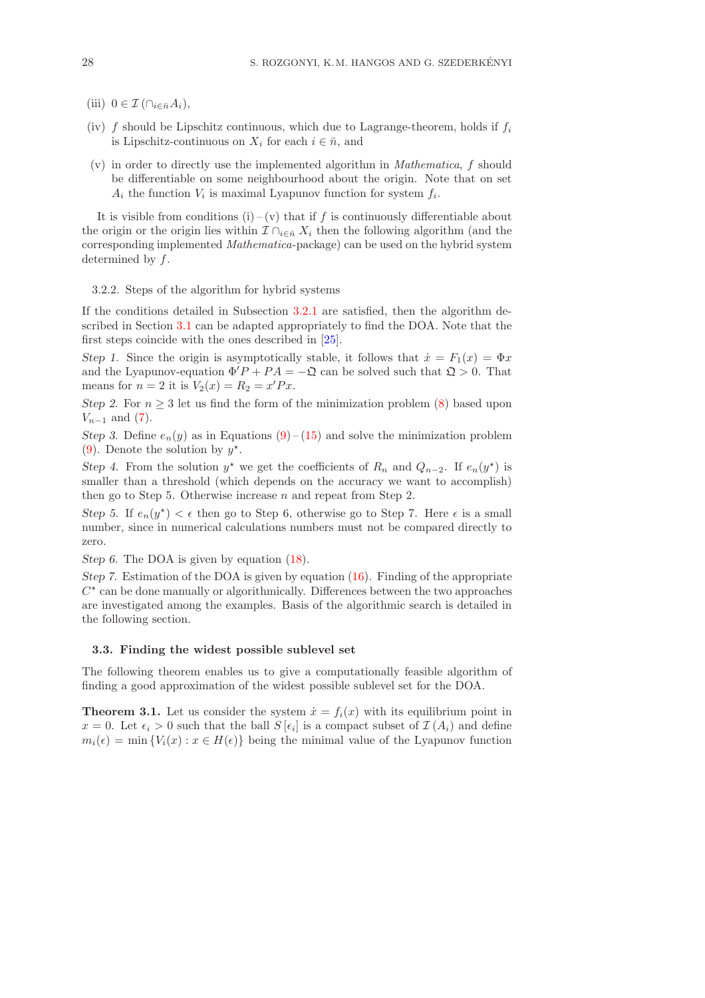- (iii)  $0 \in \mathcal{I}(\bigcap_{i \in \bar{n}} A_i),$
- (iv) f should be Lipschitz continuous, which due to Lagrange-theorem, holds if  $f_i$ is Lipschitz-continuous on  $X_i$  for each  $i \in \bar{n}$ , and
- (v) in order to directly use the implemented algorithm in Mathematica, f should be differentiable on some neighbourhood about the origin. Note that on set  $A_i$  the function  $V_i$  is maximal Lyapunov function for system  $f_i$ .

It is visible from conditions (i) – (v) that if f is continuously differentiable about the origin or the origin lies within  $\mathcal{I} \cap_{i \in \bar{n}} X_i$  then the following algorithm (and the corresponding implemented Mathematica-package) can be used on the hybrid system determined by f.

## 3.2.2. Steps of the algorithm for hybrid systems

If the conditions detailed in Subsection [3.2.1](#page-8-0) are satisfied, then the algorithm described in Section [3.1](#page-5-0) can be adapted appropriately to find the DOA. Note that the first steps coincide with the ones described in [\[25\]](#page-18-2).

Step 1. Since the origin is asymptotically stable, it follows that  $\dot{x} = F_1(x) = \Phi x$ and the Lyapunov-equation  $\Phi'P + PA = -\mathfrak{Q}$  can be solved such that  $\mathfrak{Q} > 0$ . That means for  $n = 2$  it is  $V_2(x) = R_2 = x'Px$ .

Step 2. For  $n \geq 3$  let us find the form of the minimization problem [\(8\)](#page-6-1) based upon  $V_{n-1}$  and [\(7\)](#page-6-2).

Step 3. Define  $e_n(y)$  as in Equations [\(9\)](#page-6-3) – [\(15\)](#page-7-0) and solve the minimization problem [\(9\)](#page-6-3). Denote the solution by  $y^*$ .

Step 4. From the solution  $y^*$  we get the coefficients of  $R_n$  and  $Q_{n-2}$ . If  $e_n(y^*)$  is smaller than a threshold (which depends on the accuracy we want to accomplish) then go to Step 5. Otherwise increase  $n$  and repeat from Step 2.

Step 5. If  $e_n(y^*) < \epsilon$  then go to Step 6, otherwise go to Step 7. Here  $\epsilon$  is a small number, since in numerical calculations numbers must not be compared directly to zero.

Step 6. The DOA is given by equation  $(18)$ .

Step 7. Estimation of the DOA is given by equation [\(16\)](#page-7-1). Finding of the appropriate  $C^{\star}$  can be done manually or algorithmically. Differences between the two approaches are investigated among the examples. Basis of the algorithmic search is detailed in the following section.

# 3.3. Finding the widest possible sublevel set

<span id="page-9-0"></span>The following theorem enables us to give a computationally feasible algorithm of finding a good approximation of the widest possible sublevel set for the DOA.

**Theorem 3.1.** Let us consider the system  $\dot{x} = f_i(x)$  with its equilibrium point in  $x = 0$ . Let  $\epsilon_i > 0$  such that the ball  $S[\epsilon_i]$  is a compact subset of  $\mathcal{I}(A_i)$  and define  $m_i(\epsilon) = \min \{ V_i(x) : x \in H(\epsilon) \}$  being the minimal value of the Lyapunov function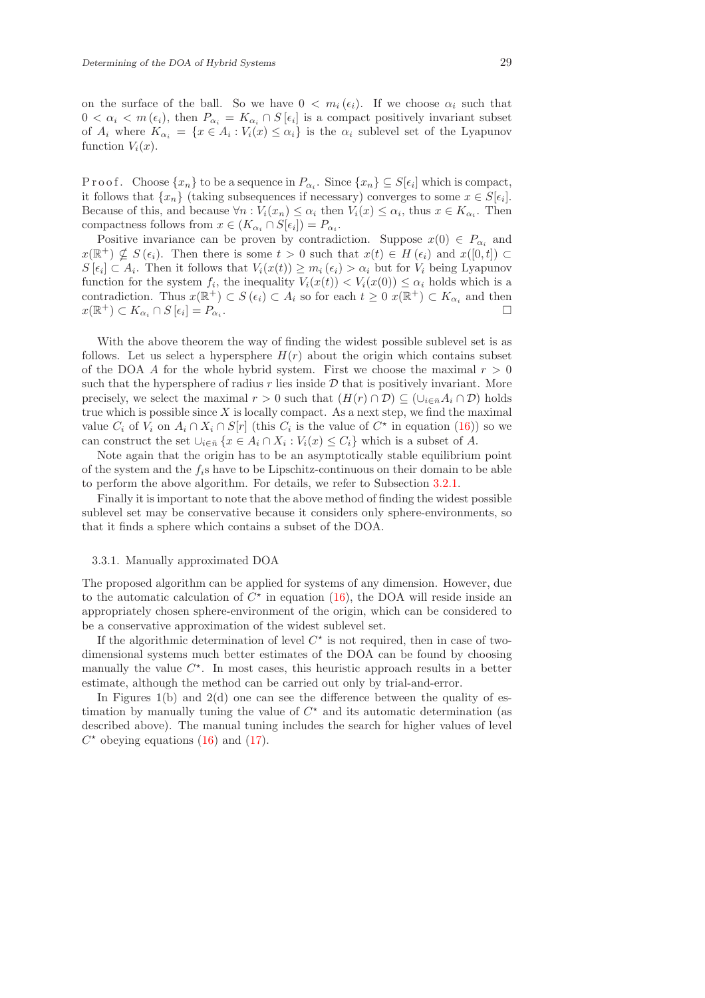on the surface of the ball. So we have  $0 < m_i(\epsilon_i)$ . If we choose  $\alpha_i$  such that  $0 < \alpha_i < m(\epsilon_i)$ , then  $P_{\alpha_i} = K_{\alpha_i} \cap S[\epsilon_i]$  is a compact positively invariant subset of  $A_i$  where  $K_{\alpha_i} = \{x \in A_i : V_i(x) \leq \alpha_i\}$  is the  $\alpha_i$  sublevel set of the Lyapunov function  $V_i(x)$ .

Proof. Choose  $\{x_n\}$  to be a sequence in  $P_{\alpha_i}$ . Since  $\{x_n\} \subseteq S[\epsilon_i]$  which is compact, it follows that  $\{x_n\}$  (taking subsequences if necessary) converges to some  $x \in S[\epsilon_i].$ Because of this, and because  $\forall n: V_i(x_n) \leq \alpha_i$  then  $V_i(x) \leq \alpha_i$ , thus  $x \in K_{\alpha_i}$ . Then compactness follows from  $x \in (K_{\alpha_i} \cap S[\epsilon_i]) = P_{\alpha_i}$ .

Positive invariance can be proven by contradiction. Suppose  $x(0) \in P_{\alpha}$  and  $x(\mathbb{R}^+) \nsubseteq S(\epsilon_i)$ . Then there is some  $t > 0$  such that  $x(t) \in H(\epsilon_i)$  and  $x([0, t]) \subset$  $S[\epsilon_i] \subset A_i$ . Then it follows that  $V_i(x(t)) \geq m_i(\epsilon_i) > \alpha_i$  but for  $V_i$  being Lyapunov function for the system  $f_i$ , the inequality  $V_i(x(t)) < V_i(x(0)) \leq \alpha_i$  holds which is a contradiction. Thus  $x(\mathbb{R}^+) \subset S(\epsilon_i) \subset A_i$  so for each  $t \geq 0$   $x(\mathbb{R}^+) \subset K_{\alpha_i}$  and then  $x(\mathbb{R}^+) \subset K_{\alpha_i} \cap S[\epsilon_i] = P_{\alpha_i}$ .

With the above theorem the way of finding the widest possible sublevel set is as follows. Let us select a hypersphere  $H(r)$  about the origin which contains subset of the DOA A for the whole hybrid system. First we choose the maximal  $r > 0$ such that the hypersphere of radius r lies inside  $\mathcal D$  that is positively invariant. More precisely, we select the maximal  $r > 0$  such that  $(H(r) \cap \mathcal{D}) \subseteq (\cup_{i \in \bar{n}} A_i \cap \mathcal{D})$  holds true which is possible since  $X$  is locally compact. As a next step, we find the maximal value  $C_i$  of  $V_i$  on  $A_i \cap X_i \cap S[r]$  (this  $C_i$  is the value of  $C^*$  in equation [\(16\)](#page-7-1)) so we can construct the set  $\bigcup_{i \in \bar{n}} \{x \in A_i \cap X_i : V_i(x) \leq C_i\}$  which is a subset of A.

Note again that the origin has to be an asymptotically stable equilibrium point of the system and the  $f_i$ s have to be Lipschitz-continuous on their domain to be able to perform the above algorithm. For details, we refer to Subsection [3.2.1.](#page-8-0)

Finally it is important to note that the above method of finding the widest possible sublevel set may be conservative because it considers only sphere-environments, so that it finds a sphere which contains a subset of the DOA.

## 3.3.1. Manually approximated DOA

The proposed algorithm can be applied for systems of any dimension. However, due to the automatic calculation of  $C^*$  in equation [\(16\)](#page-7-1), the DOA will reside inside an appropriately chosen sphere-environment of the origin, which can be considered to be a conservative approximation of the widest sublevel set.

If the algorithmic determination of level  $C^*$  is not required, then in case of twodimensional systems much better estimates of the DOA can be found by choosing manually the value  $C^*$ . In most cases, this heuristic approach results in a better estimate, although the method can be carried out only by trial-and-error.

In Figures  $1(b)$  and  $2(d)$  one can see the difference between the quality of estimation by manually tuning the value of  $C^*$  and its automatic determination (as described above). The manual tuning includes the search for higher values of level  $C^*$  obeying equations [\(16\)](#page-7-1) and [\(17\)](#page-8-2).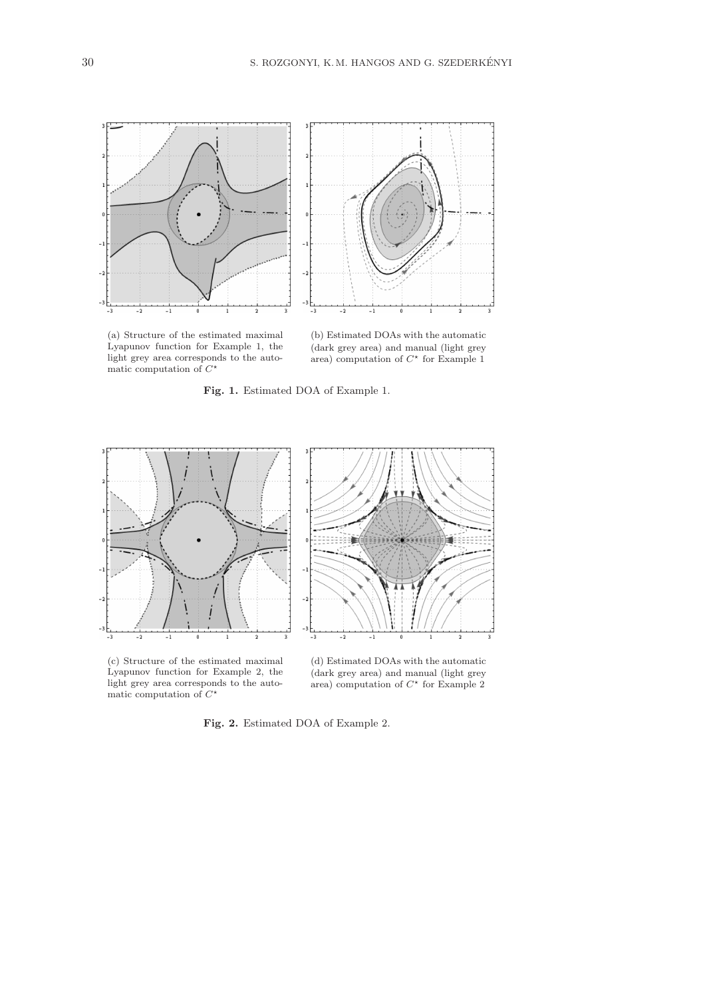



(a) Structure of the estimated maximal Lyapunov function for Example 1, the light grey area corresponds to the automatic computation of  $C^*$ 

(b) Estimated DOAs with the automatic (dark grey area) and manual (light grey area) computation of  $C^*$  for Example 1

Fig. 1. Estimated DOA of Example 1.



(c) Structure of the estimated maximal Lyapunov function for Example 2, the light grey area corresponds to the automatic computation of  $C^*$ 

(d) Estimated DOAs with the automatic (dark grey area) and manual (light grey area) computation of  $C^*$  for Example 2

Fig. 2. Estimated DOA of Example 2.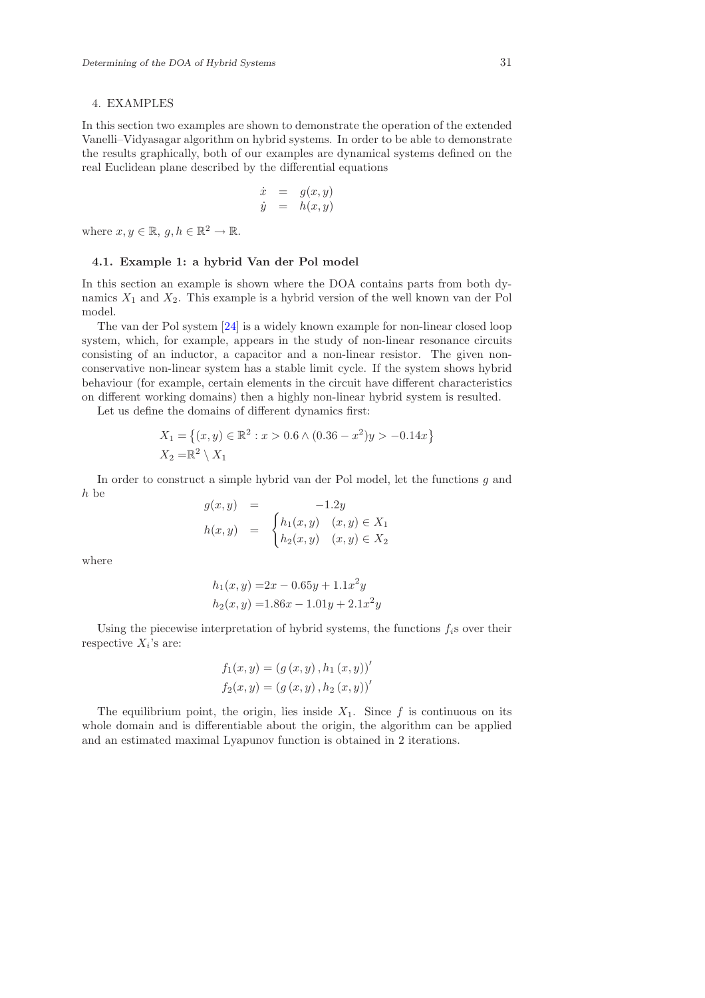## 4. EXAMPLES

In this section two examples are shown to demonstrate the operation of the extended Vanelli–Vidyasagar algorithm on hybrid systems. In order to be able to demonstrate the results graphically, both of our examples are dynamical systems defined on the real Euclidean plane described by the differential equations

$$
\begin{array}{rcl}\n\dot{x} &=& g(x,y) \\
\dot{y} &=& h(x,y)\n\end{array}
$$

where  $x, y \in \mathbb{R}, g, h \in \mathbb{R}^2 \to \mathbb{R}$ .

#### 4.1. Example 1: a hybrid Van der Pol model

In this section an example is shown where the DOA contains parts from both dynamics  $X_1$  and  $X_2$ . This example is a hybrid version of the well known van der Pol model.

The van der Pol system [\[24\]](#page-18-6) is a widely known example for non-linear closed loop system, which, for example, appears in the study of non-linear resonance circuits consisting of an inductor, a capacitor and a non-linear resistor. The given nonconservative non-linear system has a stable limit cycle. If the system shows hybrid behaviour (for example, certain elements in the circuit have different characteristics on different working domains) then a highly non-linear hybrid system is resulted.

Let us define the domains of different dynamics first:

$$
X_1 = \{(x, y) \in \mathbb{R}^2 : x > 0.6 \land (0.36 - x^2)y > -0.14x\}
$$
  

$$
X_2 = \mathbb{R}^2 \setminus X_1
$$

In order to construct a simple hybrid van der Pol model, let the functions g and h be

$$
g(x, y) = -1.2y
$$
  
\n
$$
h(x, y) = \begin{cases} h_1(x, y) & (x, y) \in X_1 \\ h_2(x, y) & (x, y) \in X_2 \end{cases}
$$

where

$$
h_1(x, y) = 2x - 0.65y + 1.1x^2y
$$
  

$$
h_2(x, y) = 1.86x - 1.01y + 2.1x^2y
$$

Using the piecewise interpretation of hybrid systems, the functions  $f_i$ s over their respective  $X_i$ 's are:

$$
f_1(x, y) = (g(x, y), h_1(x, y))'
$$
  

$$
f_2(x, y) = (g(x, y), h_2(x, y))'
$$

The equilibrium point, the origin, lies inside  $X_1$ . Since f is continuous on its whole domain and is differentiable about the origin, the algorithm can be applied and an estimated maximal Lyapunov function is obtained in 2 iterations.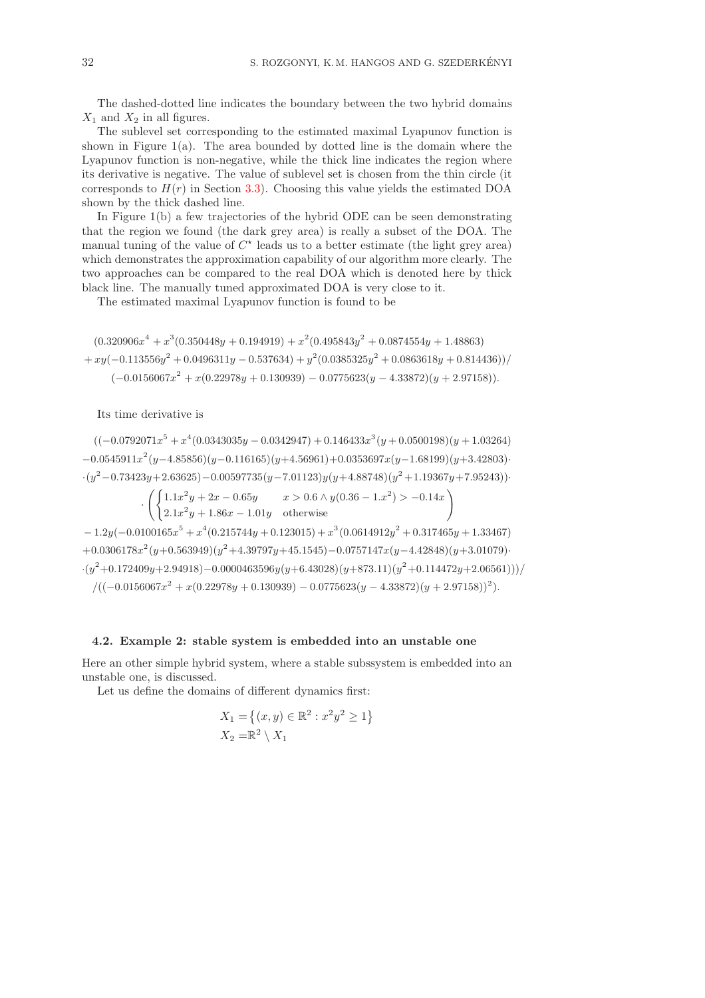The dashed-dotted line indicates the boundary between the two hybrid domains  $X_1$  and  $X_2$  in all figures.

The sublevel set corresponding to the estimated maximal Lyapunov function is shown in Figure 1(a). The area bounded by dotted line is the domain where the Lyapunov function is non-negative, while the thick line indicates the region where its derivative is negative. The value of sublevel set is chosen from the thin circle (it corresponds to  $H(r)$  in Section [3.3\)](#page-9-0). Choosing this value yields the estimated DOA shown by the thick dashed line.

In Figure 1(b) a few trajectories of the hybrid ODE can be seen demonstrating that the region we found (the dark grey area) is really a subset of the DOA. The manual tuning of the value of  $C^*$  leads us to a better estimate (the light grey area) which demonstrates the approximation capability of our algorithm more clearly. The two approaches can be compared to the real DOA which is denoted here by thick black line. The manually tuned approximated DOA is very close to it.

The estimated maximal Lyapunov function is found to be

$$
(0.320906x4 + x3(0.350448y + 0.194919) + x2(0.495843y2 + 0.0874554y + 1.48863)
$$
  
+  $xy(-0.113556y2 + 0.0496311y - 0.537634) + y2(0.0385325y2 + 0.0863618y + 0.814436))/$   
 $(-0.0156067x2 + x(0.22978y + 0.130939) - 0.0775623(y - 4.33872)(y + 2.97158)).$ 

Its time derivative is

 $((-0.0792071x^5 + x^4(0.0343035y - 0.0342947) + 0.146433x^3(y + 0.0500198)(y + 1.03264)$  $-0.0545911x^2(y-4.85856)(y-0.116165)(y+4.56961)+0.0353697x(y-1.68199)(y+3.42803)$  $-(y^2-0.73423y+2.63625)-0.00597735(y-7.01123)y(y+4.88748)(y^2+1.19367y+7.95243))$ 

$$
\cdot \left( \begin{cases} 1.1x^2y + 2x - 0.65y & x > 0.6 \land y(0.36 - 1.x^2) > -0.14x \\ 2.1x^2y + 1.86x - 1.01y & \text{otherwise} \end{cases} \right)
$$

 $-1.2y(-0.0100165x^{5} + x^{4}(0.215744y + 0.123015) + x^{3}(0.0614912y^{2} + 0.317465y + 1.33467)$  $+0.0306178x^{2}(y+0.563949)(y^{2}+4.39797y+45.1545)-0.0757147x(y-4.42848)(y+3.01079)$  $-(y^2+0.172409y+2.94918)-0.0000463596y(y+6.43028)(y+873.11)(y^2+0.114472y+2.06561)))/$  $/((-0.0156067x<sup>2</sup> + x(0.22978y + 0.130939) - 0.0775623(y - 4.33872)(y + 2.97158))<sup>2</sup>).$ 

#### 4.2. Example 2: stable system is embedded into an unstable one

Here an other simple hybrid system, where a stable subssystem is embedded into an unstable one, is discussed.

Let us define the domains of different dynamics first:

$$
X_1 = \left\{ (x, y) \in \mathbb{R}^2 : x^2 y^2 \ge 1 \right\}
$$
  

$$
X_2 = \mathbb{R}^2 \setminus X_1
$$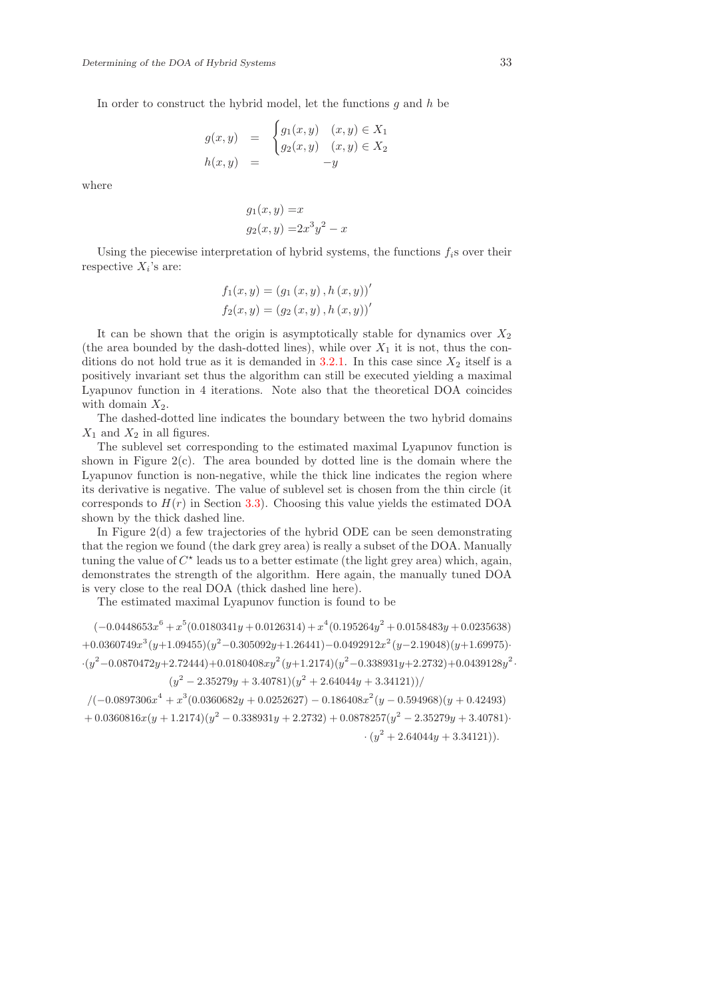In order to construct the hybrid model, let the functions  $q$  and  $h$  be

$$
g(x, y) = \begin{cases} g_1(x, y) & (x, y) \in X_1 \\ g_2(x, y) & (x, y) \in X_2 \end{cases}
$$
  

$$
h(x, y) = -y
$$

where

$$
g_1(x, y) = x
$$
  

$$
g_2(x, y) = 2x^3y^2 - x
$$

Using the piecewise interpretation of hybrid systems, the functions  $f_i$ s over their respective  $X_i$ 's are:

$$
f_1(x, y) = (g_1(x, y), h(x, y))'
$$
  

$$
f_2(x, y) = (g_2(x, y), h(x, y))'
$$

It can be shown that the origin is asymptotically stable for dynamics over  $X_2$ (the area bounded by the dash-dotted lines), while over  $X_1$  it is not, thus the con-ditions do not hold true as it is demanded in [3.2.1.](#page-8-0) In this case since  $X_2$  itself is a positively invariant set thus the algorithm can still be executed yielding a maximal Lyapunov function in 4 iterations. Note also that the theoretical DOA coincides with domain  $X_2$ .

The dashed-dotted line indicates the boundary between the two hybrid domains  $X_1$  and  $X_2$  in all figures.

The sublevel set corresponding to the estimated maximal Lyapunov function is shown in Figure  $2(c)$ . The area bounded by dotted line is the domain where the Lyapunov function is non-negative, while the thick line indicates the region where its derivative is negative. The value of sublevel set is chosen from the thin circle (it corresponds to  $H(r)$  in Section [3.3\)](#page-9-0). Choosing this value yields the estimated DOA shown by the thick dashed line.

In Figure 2(d) a few trajectories of the hybrid ODE can be seen demonstrating that the region we found (the dark grey area) is really a subset of the DOA. Manually tuning the value of  $C^*$  leads us to a better estimate (the light grey area) which, again, demonstrates the strength of the algorithm. Here again, the manually tuned DOA is very close to the real DOA (thick dashed line here).

The estimated maximal Lyapunov function is found to be

 $(-0.0448653x^{6} + x^{5}(0.0180341y + 0.0126314) + x^{4}(0.195264y^{2} + 0.0158483y + 0.0235638)$  $+0.0360749x^3(y+1.09455)(y^2-0.305092y+1.26441)-0.0492912x^2(y-2.19048)(y+1.69975)$  $\cdot (y^2 - 0.0870472y + 2.72444) + 0.0180408xy^2(y+1.2174)(y^2 - 0.338931y + 2.2732) + 0.0439128y^2$  $(y^2 - 2.35279y + 3.40781)(y^2 + 2.64044y + 3.34121))/$ 

 $/(-0.0897306x^{4} + x^{3}(0.0360682y + 0.0252627) - 0.186408x^{2}(y - 0.594968)(y + 0.42493)$  $+ 0.0360816x(y + 1.2174)(y^2 - 0.338931y + 2.2732) + 0.0878257(y^2 - 2.35279y + 3.40781)$  $\cdot (y^2 + 2.64044y + 3.34121)).$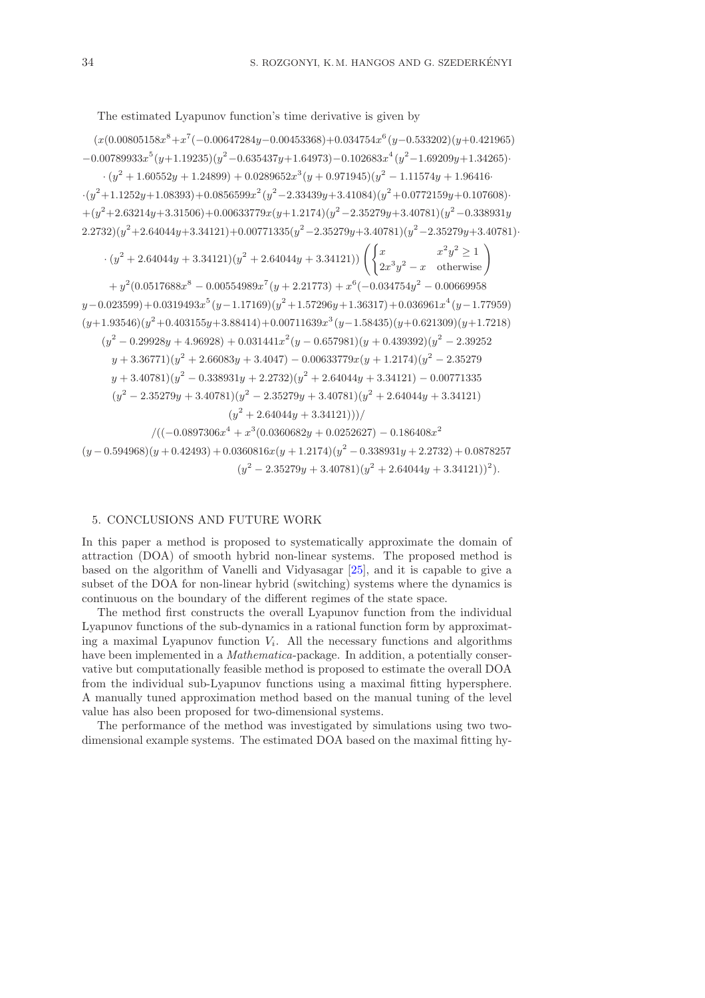The estimated Lyapunov function's time derivative is given by

 $(x(0.00805158x<sup>8</sup>+x<sup>7</sup>(-0.00647284y-0.00453368)+0.034754x<sup>6</sup>(y-0.533202)(y+0.421965)$  $-0.00789933x^{5}(y+1.19235)(y^{2}-0.635437y+1.64973)-0.102683x^{4}(y^{2}-1.69209y+1.34265)$  $\cdot (y^2 + 1.60552y + 1.24899) + 0.0289652x^3(y + 0.971945)(y^2 - 1.11574y + 1.964164)$  $\cdot(y^2+1.1252y+1.08393)+0.0856599x^2(y^2-2.33439y+3.41084)(y^2+0.0772159y+0.107608)$  $+(y^2+2.63214y+3.31506)+0.00633779x(y+1.2174)(y^2-2.35279y+3.40781)(y^2-0.338931y)$  $2.2732)(y^2+2.64044y+3.34121)+0.00771335(y^2-2.35279y+3.40781)(y^2-2.35279y+3.40781)$  $\cdot (y^2 + 2.64044y + 3.34121)(y^2 + 2.64044y + 3.34121)) \left( \begin{cases} x & x^2y^2 \ge 1 \\ 0 & y \le 1 \end{cases} \right)$  $\begin{pmatrix} x^2y^2 \ge 1 \\ 2x^3y^2 - x \end{pmatrix}$  otherwise  $+ y^2(0.0517688x^8 - 0.00554989x^7(y + 2.21773) + x^6(-0.034754y^2 - 0.00669958)$  $y=0.023599)+0.0319493x^{5}$  $(y=1.17169)(y^{2}+1.57296y+1.36317)+0.036961x^{4}(y=1.77959)$  $(y+1.93546)(y^2+0.403155y+3.88414)+0.00711639x^3(y-1.58435)(y+0.621309)(y+1.7218)$  $(y^2 - 0.29928y + 4.96928) + 0.031441x^2(y - 0.657981)(y + 0.439392)(y^2 - 2.39252)$  $y + 3.36771(y^2 + 2.66083y + 3.4047) - 0.00633779x(y + 1.2174)(y^2 - 2.35279)$  $y + 3.40781(y^2 - 0.338931y + 2.2732)(y^2 + 2.64044y + 3.34121) - 0.00771335$  $(y^{2} - 2.35279y + 3.40781)(y^{2} - 2.35279y + 3.40781)(y^{2} + 2.64044y + 3.34121)$  $(y^2+2.64044y+3.34121)))/$  $/((-0.0897306x^4 + x^3(0.0360682y + 0.0252627) - 0.186408x^2$  $(y-0.594968)(y+0.42493)+0.0360816x(y+1.2174)(y^2-0.338931y+2.2732)+0.0878257$  $(y^2 - 2.35279y + 3.40781)(y^2 + 2.64044y + 3.34121))^2$ 

# 5. CONCLUSIONS AND FUTURE WORK

In this paper a method is proposed to systematically approximate the domain of attraction (DOA) of smooth hybrid non-linear systems. The proposed method is based on the algorithm of Vanelli and Vidyasagar [\[25\]](#page-18-2), and it is capable to give a subset of the DOA for non-linear hybrid (switching) systems where the dynamics is continuous on the boundary of the different regimes of the state space.

The method first constructs the overall Lyapunov function from the individual Lyapunov functions of the sub-dynamics in a rational function form by approximating a maximal Lyapunov function  $V_i$ . All the necessary functions and algorithms have been implemented in a *Mathematica*-package. In addition, a potentially conservative but computationally feasible method is proposed to estimate the overall DOA from the individual sub-Lyapunov functions using a maximal fitting hypersphere. A manually tuned approximation method based on the manual tuning of the level value has also been proposed for two-dimensional systems.

The performance of the method was investigated by simulations using two twodimensional example systems. The estimated DOA based on the maximal fitting hy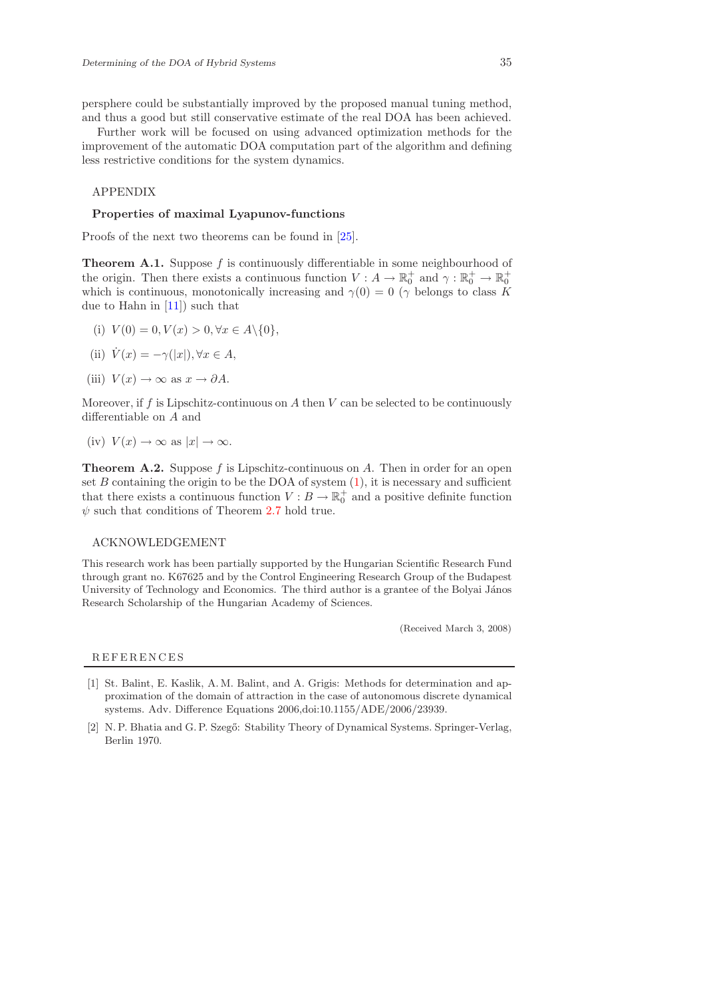persphere could be substantially improved by the proposed manual tuning method, and thus a good but still conservative estimate of the real DOA has been achieved.

Further work will be focused on using advanced optimization methods for the improvement of the automatic DOA computation part of the algorithm and defining less restrictive conditions for the system dynamics.

APPENDIX

#### Properties of maximal Lyapunov-functions

<span id="page-16-2"></span>Proofs of the next two theorems can be found in [\[25\]](#page-18-2).

**Theorem A.1.** Suppose f is continuously differentiable in some neighbourhood of the origin. Then there exists a continuous function  $V: A \to \mathbb{R}_0^+$  and  $\gamma: \mathbb{R}_0^+ \to \mathbb{R}_0^+$ which is continuous, monotonically increasing and  $\gamma(0) = 0$  ( $\gamma$  belongs to class K due to Hahn in [\[11\]](#page-17-20)) such that

(i) 
$$
V(0) = 0, V(x) > 0, \forall x \in A \setminus \{0\},
$$

(ii) 
$$
\dot{V}(x) = -\gamma(|x|), \forall x \in A,
$$

(iii) 
$$
V(x) \to \infty
$$
 as  $x \to \partial A$ .

Moreover, if f is Lipschitz-continuous on A then  $V$  can be selected to be continuously differentiable on A and

(iv) 
$$
V(x) \to \infty
$$
 as  $|x| \to \infty$ .

<span id="page-16-3"></span>**Theorem A.2.** Suppose f is Lipschitz-continuous on A. Then in order for an open set  $B$  containing the origin to be the DOA of system  $(1)$ , it is necessary and sufficient that there exists a continuous function  $V : B \to \mathbb{R}^+_0$  and a positive definite function  $\psi$  such that conditions of Theorem [2.7](#page-3-0) hold true.

# ACKNOWLEDGEMENT

This research work has been partially supported by the Hungarian Scientific Research Fund through grant no. K67625 and by the Control Engineering Research Group of the Budapest University of Technology and Economics. The third author is a grantee of the Bolyai János Research Scholarship of the Hungarian Academy of Sciences.

(Received March 3, 2008)

## **REFERENCES**

- <span id="page-16-0"></span>[1] St. Balint, E. Kaslik, A. M. Balint, and A. Grigis: Methods for determination and approximation of the domain of attraction in the case of autonomous discrete dynamical systems. Adv. Difference Equations 2006,doi:10.1155/ADE/2006/23939.
- <span id="page-16-1"></span>[2] N. P. Bhatia and G. P. Szegő: Stability Theory of Dynamical Systems. Springer-Verlag, Berlin 1970.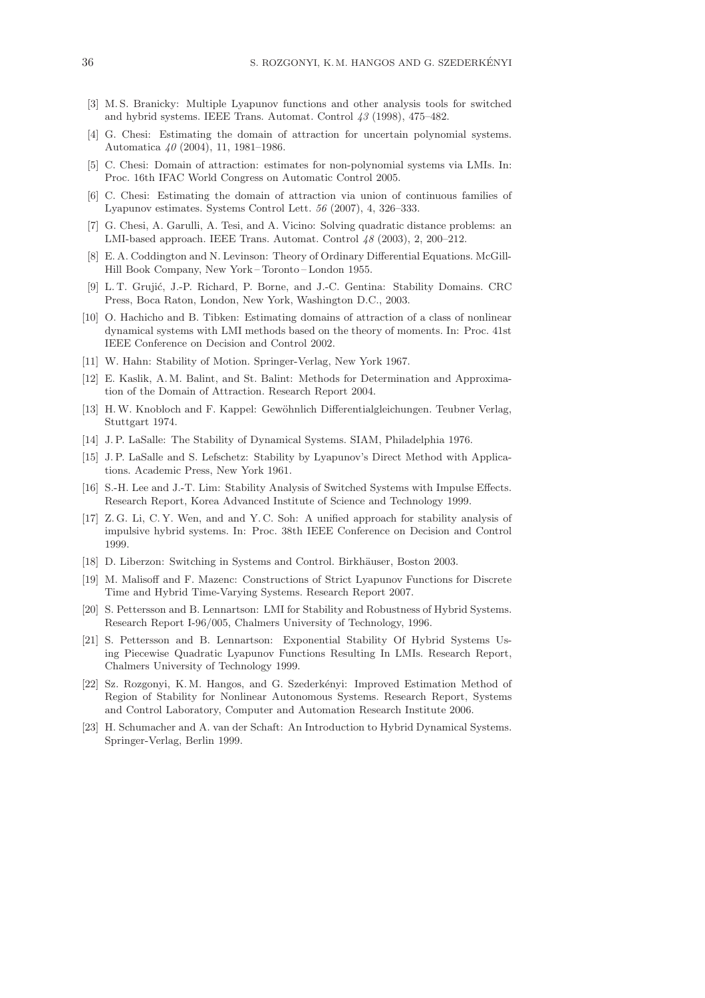- <span id="page-17-17"></span>[3] M. S. Branicky: Multiple Lyapunov functions and other analysis tools for switched and hybrid systems. IEEE Trans. Automat. Control 43 (1998), 475–482.
- <span id="page-17-5"></span>[4] G. Chesi: Estimating the domain of attraction for uncertain polynomial systems. Automatica 40 (2004), 11, 1981–1986.
- <span id="page-17-6"></span><span id="page-17-3"></span>[5] C. Chesi: Domain of attraction: estimates for non-polynomial systems via LMIs. In: Proc. 16th IFAC World Congress on Automatic Control 2005.
- <span id="page-17-7"></span>[6] C. Chesi: Estimating the domain of attraction via union of continuous families of Lyapunov estimates. Systems Control Lett. 56 (2007), 4, 326–333.
- [7] G. Chesi, A. Garulli, A. Tesi, and A. Vicino: Solving quadratic distance problems: an LMI-based approach. IEEE Trans. Automat. Control 48 (2003), 2, 200–212.
- <span id="page-17-9"></span>[8] E. A. Coddington and N. Levinson: Theory of Ordinary Differential Equations. McGill-Hill Book Company, New York – Toronto – London 1955.
- <span id="page-17-11"></span>[9] L. T. Grujić, J.-P. Richard, P. Borne, and J.-C. Gentina: Stability Domains. CRC Press, Boca Raton, London, New York, Washington D.C., 2003.
- <span id="page-17-4"></span>[10] O. Hachicho and B. Tibken: Estimating domains of attraction of a class of nonlinear dynamical systems with LMI methods based on the theory of moments. In: Proc. 41st IEEE Conference on Decision and Control 2002.
- <span id="page-17-20"></span><span id="page-17-1"></span>[11] W. Hahn: Stability of Motion. Springer-Verlag, New York 1967.
- [12] E. Kaslik, A.M. Balint, and St. Balint: Methods for Determination and Approximation of the Domain of Attraction. Research Report 2004.
- <span id="page-17-2"></span>[13] H.W. Knobloch and F. Kappel: Gewöhnlich Differentialgleichungen. Teubner Verlag, Stuttgart 1974.
- <span id="page-17-10"></span><span id="page-17-0"></span>[14] J. P. LaSalle: The Stability of Dynamical Systems. SIAM, Philadelphia 1976.
- [15] J. P. LaSalle and S. Lefschetz: Stability by Lyapunov's Direct Method with Applications. Academic Press, New York 1961.
- <span id="page-17-14"></span>[16] S.-H. Lee and J.-T. Lim: Stability Analysis of Switched Systems with Impulse Effects. Research Report, Korea Advanced Institute of Science and Technology 1999.
- <span id="page-17-15"></span>[17] Z. G. Li, C. Y. Wen, and and Y. C. Soh: A unified approach for stability analysis of impulsive hybrid systems. In: Proc. 38th IEEE Conference on Decision and Control 1999.
- <span id="page-17-12"></span><span id="page-17-8"></span>[18] D. Liberzon: Switching in Systems and Control. Birkhäuser, Boston 2003.
- [19] M. Malisoff and F. Mazenc: Constructions of Strict Lyapunov Functions for Discrete Time and Hybrid Time-Varying Systems. Research Report 2007.
- <span id="page-17-16"></span>[20] S. Pettersson and B. Lennartson: LMI for Stability and Robustness of Hybrid Systems. Research Report I-96/005, Chalmers University of Technology, 1996.
- <span id="page-17-18"></span>[21] S. Pettersson and B. Lennartson: Exponential Stability Of Hybrid Systems Using Piecewise Quadratic Lyapunov Functions Resulting In LMIs. Research Report, Chalmers University of Technology 1999.
- <span id="page-17-19"></span>[22] Sz. Rozgonyi, K.M. Hangos, and G. Szederkényi: Improved Estimation Method of Region of Stability for Nonlinear Autonomous Systems. Research Report, Systems and Control Laboratory, Computer and Automation Research Institute 2006.
- <span id="page-17-13"></span>[23] H. Schumacher and A. van der Schaft: An Introduction to Hybrid Dynamical Systems. Springer-Verlag, Berlin 1999.